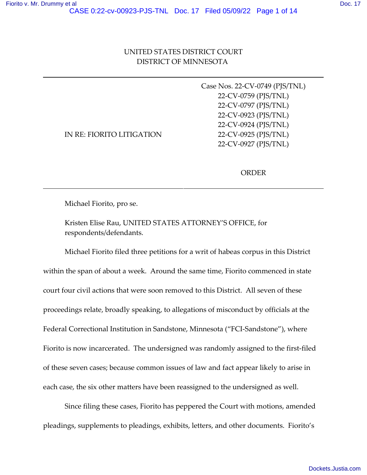|                                  | Case Nos. 22-CV-0749 (PJS/TNL) |
|----------------------------------|--------------------------------|
|                                  | 22-CV-0759 (PJS/TNL)           |
|                                  | 22-CV-0797 (PJS/TNL)           |
|                                  | 22-CV-0923 (PJS/TNL)           |
|                                  | 22-CV-0924 (PJS/TNL)           |
| <b>IN RE: FIORITO LITIGATION</b> | 22-CV-0925 (PJS/TNL)           |
|                                  | 22-CV-0927 (PJS/TNL)           |

ORDER

Michael Fiorito, pro se.

Kristen Elise Rau, UNITED STATES ATTORNEY'S OFFICE, for respondents/defendants.

Michael Fiorito filed three petitions for a writ of habeas corpus in this District within the span of about a week. Around the same time, Fiorito commenced in state court four civil actions that were soon removed to this District. All seven of these proceedings relate, broadly speaking, to allegations of misconduct by officials at the Federal Correctional Institution in Sandstone, Minnesota ("FCI-Sandstone"), where Fiorito is now incarcerated. The undersigned was randomly assigned to the first-filed of these seven cases; because common issues of law and fact appear likely to arise in each case, the six other matters have been reassigned to the undersigned as well.

Since filing these cases, Fiorito has peppered the Court with motions, amended pleadings, supplements to pleadings, exhibits, letters, and other documents. Fiorito's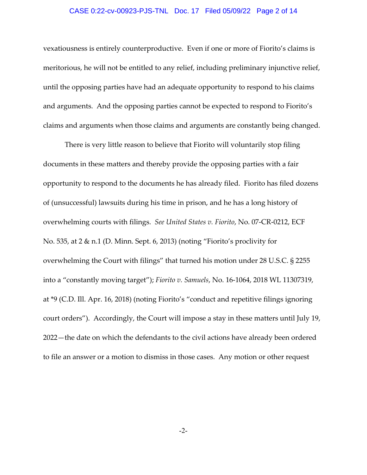### CASE 0:22-cv-00923-PJS-TNL Doc. 17 Filed 05/09/22 Page 2 of 14

vexatiousness is entirely counterproductive. Even if one or more of Fiorito's claims is meritorious, he will not be entitled to any relief, including preliminary injunctive relief, until the opposing parties have had an adequate opportunity to respond to his claims and arguments. And the opposing parties cannot be expected to respond to Fiorito's claims and arguments when those claims and arguments are constantly being changed.

There is very little reason to believe that Fiorito will voluntarily stop filing documents in these matters and thereby provide the opposing parties with a fair opportunity to respond to the documents he has already filed. Fiorito has filed dozens of (unsuccessful) lawsuits during his time in prison, and he has a long history of overwhelming courts with filings. *See United States v. Fiorito*, No. 07‐CR‐0212, ECF No. 535, at 2 & n.1 (D. Minn. Sept. 6, 2013) (noting "Fiorito's proclivity for overwhelming the Court with filings" that turned his motion under 28 U.S.C. § 2255 into a "constantly moving target"); *Fiorito v. Samuels*, No. 16‐1064, 2018 WL 11307319, at \*9 (C.D. Ill. Apr. 16, 2018) (noting Fiorito's "conduct and repetitive filings ignoring court orders"). Accordingly, the Court will impose a stay in these matters until July 19, 2022—the date on which the defendants to the civil actions have already been ordered to file an answer or a motion to dismiss in those cases. Any motion or other request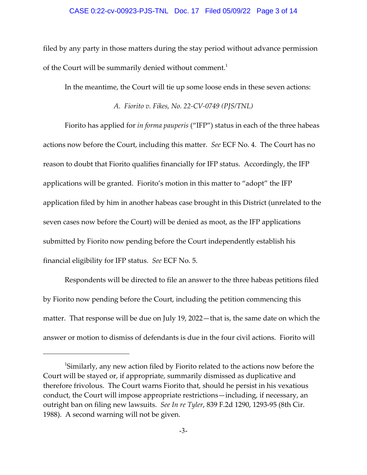### CASE 0:22-cv-00923-PJS-TNL Doc. 17 Filed 05/09/22 Page 3 of 14

filed by any party in those matters during the stay period without advance permission of the Court will be summarily denied without comment.<sup>1</sup>

In the meantime, the Court will tie up some loose ends in these seven actions:

*A. Fiorito v. Fikes, No. 22‐CV‐0749 (PJS/TNL)*

Fiorito has applied for *in forma pauperis* ("IFP") status in each of the three habeas actions now before the Court, including this matter. *See* ECF No. 4. The Court has no reason to doubt that Fiorito qualifies financially for IFP status. Accordingly, the IFP applications will be granted. Fiorito's motion in this matter to "adopt" the IFP application filed by him in another habeas case brought in this District (unrelated to the seven cases now before the Court) will be denied as moot, as the IFP applications submitted by Fiorito now pending before the Court independently establish his financial eligibility for IFP status. *See* ECF No. 5.

Respondents will be directed to file an answer to the three habeas petitions filed by Fiorito now pending before the Court, including the petition commencing this matter. That response will be due on July 19, 2022—that is, the same date on which the answer or motion to dismiss of defendants is due in the four civil actions. Fiorito will

<sup>&</sup>lt;sup>1</sup>Similarly, any new action filed by Fiorito related to the actions now before the Court will be stayed or, if appropriate, summarily dismissed as duplicative and therefore frivolous. The Court warns Fiorito that, should he persist in his vexatious conduct, the Court will impose appropriate restrictions—including, if necessary, an outright ban on filing new lawsuits. *See In re Tyler*, 839 F.2d 1290, 1293‐95 (8th Cir. 1988). A second warning will not be given.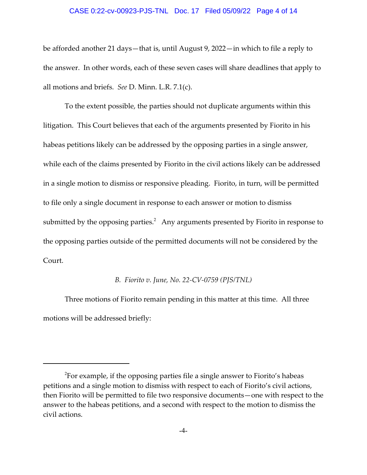#### CASE 0:22-cv-00923-PJS-TNL Doc. 17 Filed 05/09/22 Page 4 of 14

be afforded another 21 days—that is, until August 9, 2022—in which to file a reply to the answer. In other words, each of these seven cases will share deadlines that apply to all motions and briefs. *See* D. Minn. L.R. 7.1(c).

To the extent possible, the parties should not duplicate arguments within this litigation. This Court believes that each of the arguments presented by Fiorito in his habeas petitions likely can be addressed by the opposing parties in a single answer, while each of the claims presented by Fiorito in the civil actions likely can be addressed in a single motion to dismiss or responsive pleading. Fiorito, in turn, will be permitted to file only a single document in response to each answer or motion to dismiss submitted by the opposing parties. $^2$  Any arguments presented by Fiorito in response to the opposing parties outside of the permitted documents will not be considered by the Court.

### *B. Fiorito v. June, No. 22‐CV‐0759 (PJS/TNL)*

Three motions of Fiorito remain pending in this matter at this time. All three motions will be addressed briefly:

 $^2$ For example, if the opposing parties file a single answer to Fiorito's habeas petitions and a single motion to dismiss with respect to each of Fiorito's civil actions, then Fiorito will be permitted to file two responsive documents—one with respect to the answer to the habeas petitions, and a second with respect to the motion to dismiss the civil actions.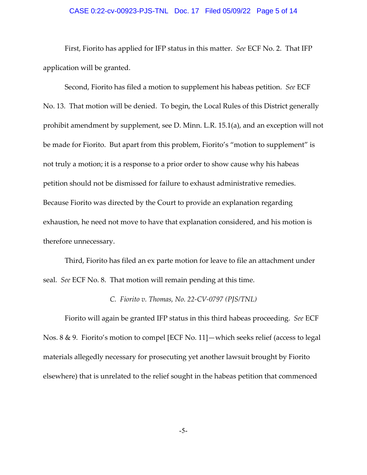# CASE 0:22-cv-00923-PJS-TNL Doc. 17 Filed 05/09/22 Page 5 of 14

First, Fiorito has applied for IFP status in this matter. *See* ECF No. 2. That IFP application will be granted.

Second, Fiorito has filed a motion to supplement his habeas petition. *See* ECF No. 13. That motion will be denied. To begin, the Local Rules of this District generally prohibit amendment by supplement, see D. Minn. L.R. 15.1(a), and an exception will not be made for Fiorito. But apart from this problem, Fiorito's "motion to supplement" is not truly a motion; it is a response to a prior order to show cause why his habeas petition should not be dismissed for failure to exhaust administrative remedies. Because Fiorito was directed by the Court to provide an explanation regarding exhaustion, he need not move to have that explanation considered, and his motion is therefore unnecessary.

Third, Fiorito has filed an ex parte motion for leave to file an attachment under seal. *See* ECF No. 8. That motion will remain pending at this time.

### *C. Fiorito v. Thomas, No. 22‐CV‐0797 (PJS/TNL)*

Fiorito will again be granted IFP status in this third habeas proceeding. *See* ECF Nos. 8 & 9. Fiorito's motion to compel [ECF No. 11]—which seeks relief (access to legal materials allegedly necessary for prosecuting yet another lawsuit brought by Fiorito elsewhere) that is unrelated to the relief sought in the habeas petition that commenced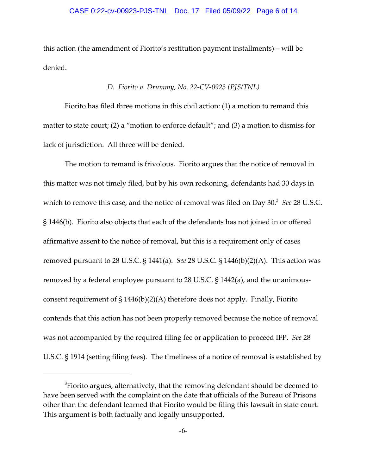### CASE 0:22-cv-00923-PJS-TNL Doc. 17 Filed 05/09/22 Page 6 of 14

this action (the amendment of Fiorito's restitution payment installments)—will be denied.

# *D. Fiorito v. Drummy, No. 22‐CV‐0923 (PJS/TNL)*

Fiorito has filed three motions in this civil action: (1) a motion to remand this matter to state court; (2) a "motion to enforce default"; and (3) a motion to dismiss for lack of jurisdiction. All three will be denied.

The motion to remand is frivolous. Fiorito argues that the notice of removal in this matter was not timely filed, but by his own reckoning, defendants had 30 days in which to remove this case, and the notice of removal was filed on Day 30.<sup>3</sup> See 28 U.S.C. § 1446(b). Fiorito also objects that each of the defendants has not joined in or offered affirmative assent to the notice of removal, but this is a requirement only of cases removed pursuant to 28 U.S.C. § 1441(a). *See* 28 U.S.C. § 1446(b)(2)(A). This action was removed by a federal employee pursuant to 28 U.S.C. § 1442(a), and the unanimous‐ consent requirement of  $\S 1446(b)(2)(A)$  therefore does not apply. Finally, Fiorito contends that this action has not been properly removed because the notice of removal was not accompanied by the required filing fee or application to proceed IFP. *See* 28 U.S.C. § 1914 (setting filing fees). The timeliness of a notice of removal is established by

 ${}^{3}$ Fiorito argues, alternatively, that the removing defendant should be deemed to have been served with the complaint on the date that officials of the Bureau of Prisons other than the defendant learned that Fiorito would be filing this lawsuit in state court. This argument is both factually and legally unsupported.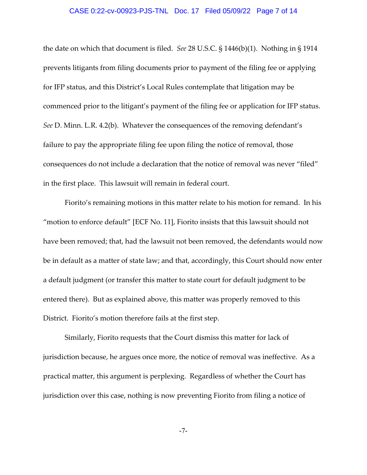### CASE 0:22-cv-00923-PJS-TNL Doc. 17 Filed 05/09/22 Page 7 of 14

the date on which that document is filed. *See* 28 U.S.C. § 1446(b)(1). Nothing in § 1914 prevents litigants from filing documents prior to payment of the filing fee or applying for IFP status, and this District's Local Rules contemplate that litigation may be commenced prior to the litigant's payment of the filing fee or application for IFP status. *See* D. Minn. L.R. 4.2(b). Whatever the consequences of the removing defendant's failure to pay the appropriate filing fee upon filing the notice of removal, those consequences do not include a declaration that the notice of removal was never "filed" in the first place. This lawsuit will remain in federal court.

Fiorito's remaining motions in this matter relate to his motion for remand. In his "motion to enforce default" [ECF No. 11], Fiorito insists that this lawsuit should not have been removed; that, had the lawsuit not been removed, the defendants would now be in default as a matter of state law; and that, accordingly, this Court should now enter a default judgment (or transfer this matter to state court for default judgment to be entered there). But as explained above, this matter was properly removed to this District. Fiorito's motion therefore fails at the first step.

Similarly, Fiorito requests that the Court dismiss this matter for lack of jurisdiction because, he argues once more, the notice of removal was ineffective. As a practical matter, this argument is perplexing. Regardless of whether the Court has jurisdiction over this case, nothing is now preventing Fiorito from filing a notice of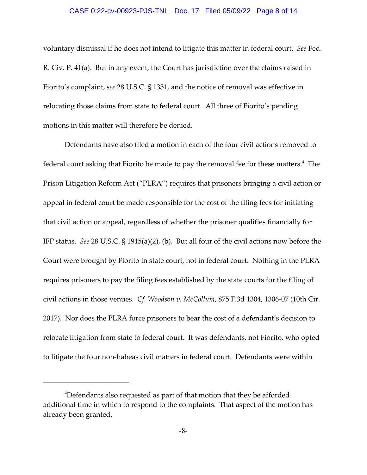#### CASE 0:22-cv-00923-PJS-TNL Doc. 17 Filed 05/09/22 Page 8 of 14

voluntary dismissal if he does not intend to litigate this matter in federal court. *See* Fed. R. Civ. P. 41(a). But in any event, the Court has jurisdiction over the claims raised in Fiorito's complaint, *see* 28 U.S.C. § 1331, and the notice of removal was effective in relocating those claims from state to federal court. All three of Fiorito's pending motions in this matter will therefore be denied.

Defendants have also filed a motion in each of the four civil actions removed to federal court asking that Fiorito be made to pay the removal fee for these matters. $^4\,$  The Prison Litigation Reform Act ("PLRA") requires that prisoners bringing a civil action or appeal in federal court be made responsible for the cost of the filing fees for initiating that civil action or appeal, regardless of whether the prisoner qualifies financially for IFP status. *See* 28 U.S.C. § 1915(a)(2), (b). But all four of the civil actions now before the Court were brought by Fiorito in state court, not in federal court. Nothing in the PLRA requires prisoners to pay the filing fees established by the state courts for the filing of civil actions in those venues. *Cf. Woodson v. McCollum*, 875 F.3d 1304, 1306‐07 (10th Cir. 2017). Nor does the PLRA force prisoners to bear the cost of a defendant's decision to relocate litigation from state to federal court. It was defendants, not Fiorito, who opted to litigate the four non-habeas civil matters in federal court. Defendants were within

<sup>&</sup>lt;sup>4</sup>Defendants also requested as part of that motion that they be afforded additional time in which to respond to the complaints. That aspect of the motion has already been granted.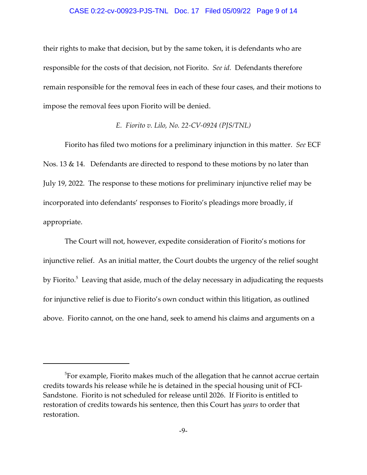### CASE 0:22-cv-00923-PJS-TNL Doc. 17 Filed 05/09/22 Page 9 of 14

their rights to make that decision, but by the same token, it is defendants who are responsible for the costs of that decision, not Fiorito. *See id.* Defendants therefore remain responsible for the removal fees in each of these four cases, and their motions to impose the removal fees upon Fiorito will be denied.

### *E. Fiorito v. Lilo, No. 22‐CV‐0924 (PJS/TNL)*

Fiorito has filed two motions for a preliminary injunction in this matter. *See* ECF Nos. 13 & 14. Defendants are directed to respond to these motions by no later than July 19, 2022. The response to these motions for preliminary injunctive relief may be incorporated into defendants' responses to Fiorito's pleadings more broadly, if appropriate.

The Court will not, however, expedite consideration of Fiorito's motions for injunctive relief. As an initial matter, the Court doubts the urgency of the relief sought by Fiorito.<sup>5</sup> Leaving that aside, much of the delay necessary in adjudicating the requests for injunctive relief is due to Fiorito's own conduct within this litigation, as outlined above. Fiorito cannot, on the one hand, seek to amend his claims and arguments on a

 $^5$ For example, Fiorito makes much of the allegation that he cannot accrue certain credits towards his release while he is detained in the special housing unit of FCI‐ Sandstone. Fiorito is not scheduled for release until 2026. If Fiorito is entitled to restoration of credits towards his sentence, then this Court has *years* to order that restoration.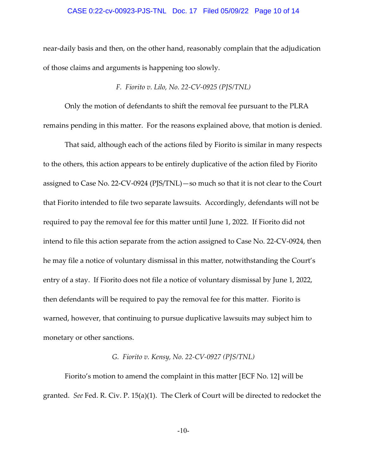### CASE 0:22-cv-00923-PJS-TNL Doc. 17 Filed 05/09/22 Page 10 of 14

near‐daily basis and then, on the other hand, reasonably complain that the adjudication of those claims and arguments is happening too slowly.

## *F. Fiorito v. Lilo, No. 22‐CV‐0925 (PJS/TNL)*

Only the motion of defendants to shift the removal fee pursuant to the PLRA remains pending in this matter. For the reasons explained above, that motion is denied.

That said, although each of the actions filed by Fiorito is similar in many respects to the others, this action appears to be entirely duplicative of the action filed by Fiorito assigned to Case No. 22‐CV‐0924 (PJS/TNL)—so much so that it is not clear to the Court that Fiorito intended to file two separate lawsuits. Accordingly, defendants will not be required to pay the removal fee for this matter until June 1, 2022. If Fiorito did not intend to file this action separate from the action assigned to Case No. 22‐CV‐0924, then he may file a notice of voluntary dismissal in this matter, notwithstanding the Court's entry of a stay. If Fiorito does not file a notice of voluntary dismissal by June 1, 2022, then defendants will be required to pay the removal fee for this matter. Fiorito is warned, however, that continuing to pursue duplicative lawsuits may subject him to monetary or other sanctions.

# *G. Fiorito v. Kensy, No. 22‐CV‐0927 (PJS/TNL)*

Fiorito's motion to amend the complaint in this matter [ECF No. 12] will be granted. *See* Fed. R. Civ. P. 15(a)(1). The Clerk of Court will be directed to redocket the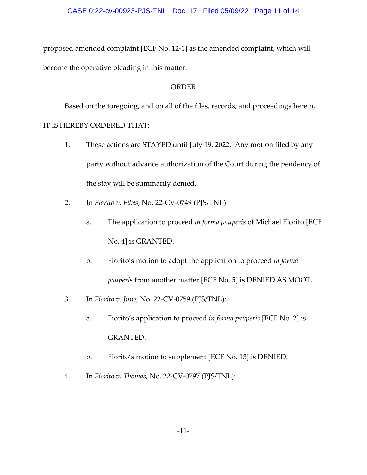proposed amended complaint [ECF No. 12‐1] as the amended complaint, which will become the operative pleading in this matter.

# ORDER

Based on the foregoing, and on all of the files, records, and proceedings herein, IT IS HEREBY ORDERED THAT:

- 1. These actions are STAYED until July 19, 2022. Any motion filed by any party without advance authorization of the Court during the pendency of the stay will be summarily denied.
- 2. In *Fiorito v. Fikes*, No. 22‐CV‐0749 (PJS/TNL):
	- a. The application to proceed *in forma pauperis* of Michael Fiorito [ECF No. 4] is GRANTED.
	- b. Fiorito's motion to adopt the application to proceed *in forma pauperis* from another matter [ECF No. 5] is DENIED AS MOOT.
- 3. In *Fiorito v. June*, No. 22‐CV‐0759 (PJS/TNL):
	- a. Fiorito's application to proceed *in forma pauperis* [ECF No. 2] is GRANTED.
	- b. Fiorito's motion to supplement [ECF No. 13] is DENIED.
- 4. In *Fiorito v. Thomas*, No. 22‐CV‐0797 (PJS/TNL):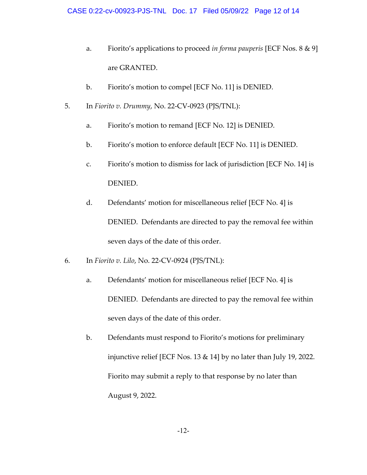- a. Fiorito's applications to proceed *in forma pauperis* [ECF Nos. 8 & 9] are GRANTED.
- b. Fiorito's motion to compel [ECF No. 11] is DENIED.
- 5. In *Fiorito v. Drummy*, No. 22‐CV‐0923 (PJS/TNL):
	- a. Fiorito's motion to remand [ECF No. 12] is DENIED.
	- b. Fiorito's motion to enforce default [ECF No. 11] is DENIED.
	- c. Fiorito's motion to dismiss for lack of jurisdiction [ECF No. 14] is DENIED.
	- d. Defendants' motion for miscellaneous relief [ECF No. 4] is DENIED. Defendants are directed to pay the removal fee within seven days of the date of this order.
- 6. In *Fiorito v. Lilo*, No. 22‐CV‐0924 (PJS/TNL):
	- a. Defendants' motion for miscellaneous relief [ECF No. 4] is DENIED. Defendants are directed to pay the removal fee within seven days of the date of this order.
	- b. Defendants must respond to Fiorito's motions for preliminary injunctive relief [ECF Nos. 13 & 14] by no later than July 19, 2022. Fiorito may submit a reply to that response by no later than August 9, 2022.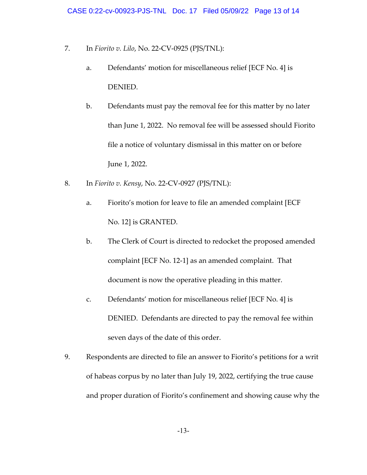- 7. In *Fiorito v. Lilo*, No. 22‐CV‐0925 (PJS/TNL):
	- a. Defendants' motion for miscellaneous relief [ECF No. 4] is DENIED.
	- b. Defendants must pay the removal fee for this matter by no later than June 1, 2022. No removal fee will be assessed should Fiorito file a notice of voluntary dismissal in this matter on or before June 1, 2022.
- 8. In *Fiorito v. Kensy*, No. 22‐CV‐0927 (PJS/TNL):
	- a. Fiorito's motion for leave to file an amended complaint [ECF No. 12] is GRANTED.
	- b. The Clerk of Court is directed to redocket the proposed amended complaint [ECF No. 12‐1] as an amended complaint. That document is now the operative pleading in this matter.
	- c. Defendants' motion for miscellaneous relief [ECF No. 4] is DENIED. Defendants are directed to pay the removal fee within seven days of the date of this order.
- 9. Respondents are directed to file an answer to Fiorito's petitions for a writ of habeas corpus by no later than July 19, 2022, certifying the true cause and proper duration of Fiorito's confinement and showing cause why the